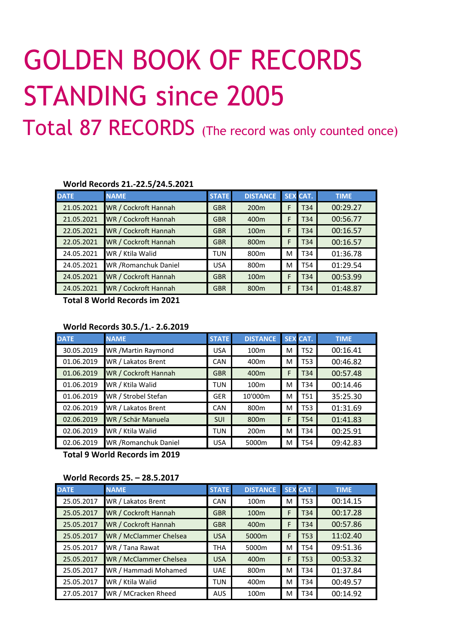# GOLDEN BOOK OF RECORDS STANDING since 2005

Total 87 RECORDS (The record was only counted once)

#### **World Records 21.-22.5/24.5.2021**

| <b>DATE</b> | <b>NAME</b>           | <b>STATE</b> | <b>DISTANCE</b>  |   | <b>SEX CAT.</b> | <b>TIME</b> |
|-------------|-----------------------|--------------|------------------|---|-----------------|-------------|
| 21.05.2021  | WR / Cockroft Hannah  | <b>GBR</b>   | 200 <sub>m</sub> |   | T <sub>34</sub> | 00:29.27    |
| 21.05.2021  | WR / Cockroft Hannah  | <b>GBR</b>   | 400 <sub>m</sub> |   | T34             | 00:56.77    |
| 22.05.2021  | WR / Cockroft Hannah  | <b>GBR</b>   | 100 <sub>m</sub> | F | T34             | 00:16.57    |
| 22.05.2021  | WR / Cockroft Hannah  | <b>GBR</b>   | 800 <sub>m</sub> | F | T34             | 00:16.57    |
| 24.05.2021  | WR / Ktila Walid      | <b>TUN</b>   | 800 <sub>m</sub> | M | T34             | 01:36.78    |
| 24.05.2021  | WR / Romanchuk Daniel | <b>USA</b>   | 800 <sub>m</sub> | M | T54             | 01:29.54    |
| 24.05.2021  | WR / Cockroft Hannah  | <b>GBR</b>   | 100 <sub>m</sub> | F | T34             | 00:53.99    |
| 24.05.2021  | WR / Cockroft Hannah  | <b>GBR</b>   | 800 <sub>m</sub> | F | T34             | 01:48.87    |

**Total 8 World Records im 2021** 

## **World Records 30.5./1.- 2.6.2019**

| <b>DATE</b> | <b>NAME</b>           | <b>STATE</b> | <b>DISTANCE</b>  |   | <b>SEX CAT.</b> | <b>TIME</b> |
|-------------|-----------------------|--------------|------------------|---|-----------------|-------------|
| 30.05.2019  | WR / Martin Raymond   | <b>USA</b>   | 100 <sub>m</sub> | M | T52             | 00:16.41    |
| 01.06.2019  | WR / Lakatos Brent    | CAN          | 400m             | M | T53             | 00:46.82    |
| 01.06.2019  | WR / Cockroft Hannah  | <b>GBR</b>   | 400m             | F | T34             | 00:57.48    |
| 01.06.2019  | WR / Ktila Walid      | <b>TUN</b>   | 100 <sub>m</sub> | м | T34             | 00:14.46    |
| 01.06.2019  | WR / Strobel Stefan   | <b>GER</b>   | 10'000m          | м | <b>T51</b>      | 35:25.30    |
| 02.06.2019  | WR / Lakatos Brent    | CAN          | 800 <sub>m</sub> | м | <b>T53</b>      | 01:31.69    |
| 02.06.2019  | WR / Schär Manuela    | <b>SUI</b>   | 800 <sub>m</sub> | F | T54             | 01:41.83    |
| 02.06.2019  | WR / Ktila Walid      | <b>TUN</b>   | 200 <sub>m</sub> | м | T34             | 00:25.91    |
| 02.06.2019  | WR / Romanchuk Daniel | <b>USA</b>   | 5000m            | M | T54             | 09:42.83    |

**Total 9 World Records im 2019** 

### **World Records 25. – 28.5.2017**

| <b>DATE</b> | <b>NAME</b>            | <b>STATE</b> | <b>DISTANCE</b>  |   | <b>SEX CAT.</b> | <b>TIME</b> |
|-------------|------------------------|--------------|------------------|---|-----------------|-------------|
| 25.05.2017  | WR / Lakatos Brent     | <b>CAN</b>   | 100 <sub>m</sub> | M | <b>T53</b>      | 00:14.15    |
| 25.05.2017  | WR / Cockroft Hannah   | <b>GBR</b>   | 100 <sub>m</sub> | F | T34             | 00:17.28    |
| 25.05.2017  | WR / Cockroft Hannah   | <b>GBR</b>   | 400 <sub>m</sub> | F | T34             | 00:57.86    |
| 25.05.2017  | WR / McClammer Chelsea | <b>USA</b>   | 5000m            | F | T53             | 11:02.40    |
| 25.05.2017  | WR / Tana Rawat        | <b>THA</b>   | 5000m            | м | T54             | 09:51.36    |
| 25.05.2017  | WR / McClammer Chelsea | <b>USA</b>   | 400 <sub>m</sub> | F | T53             | 00:53.32    |
| 25.05.2017  | WR / Hammadi Mohamed   | <b>UAE</b>   | 800 <sub>m</sub> | м | T34             | 01:37.84    |
| 25.05.2017  | WR / Ktila Walid       | <b>TUN</b>   | 400 <sub>m</sub> | м | T34             | 00:49.57    |
| 27.05.2017  | WR / MCracken Rheed    | <b>AUS</b>   | 100 <sub>m</sub> | M | T34             | 00:14.92    |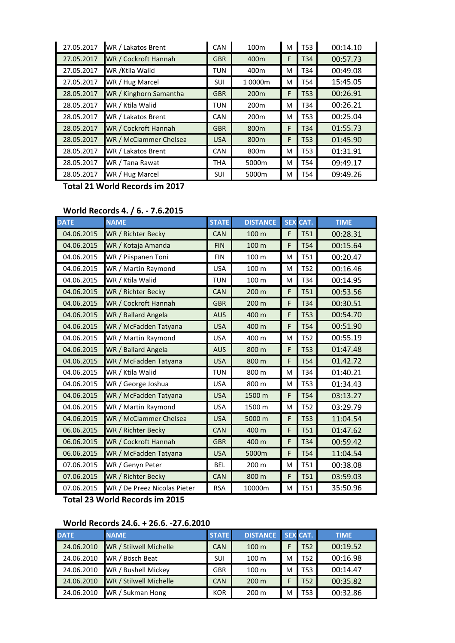| 27.05.2017 | WR / Lakatos Brent     | CAN        | 100 <sub>m</sub> | м | T53        | 00:14.10 |
|------------|------------------------|------------|------------------|---|------------|----------|
| 27.05.2017 | WR / Cockroft Hannah   | <b>GBR</b> | 400 <sub>m</sub> | F | T34        | 00:57.73 |
| 27.05.2017 | WR / Ktila Walid       | <b>TUN</b> | 400m             | M | T34        | 00:49.08 |
| 27.05.2017 | WR / Hug Marcel        | <b>SUI</b> | 1 0000m          | M | T54        | 15:45.05 |
| 28.05.2017 | WR / Kinghorn Samantha | <b>GBR</b> | 200 <sub>m</sub> | F | <b>T53</b> | 00:26.91 |
| 28.05.2017 | WR / Ktila Walid       | <b>TUN</b> | 200 <sub>m</sub> | M | T34        | 00:26.21 |
| 28.05.2017 | WR / Lakatos Brent     | CAN        | 200 <sub>m</sub> | м | T53        | 00:25.04 |
| 28.05.2017 | WR / Cockroft Hannah   | <b>GBR</b> | 800 <sub>m</sub> | F | T34        | 01:55.73 |
| 28.05.2017 | WR / McClammer Chelsea | <b>USA</b> | 800 <sub>m</sub> | F | <b>T53</b> | 01:45.90 |
| 28.05.2017 | WR / Lakatos Brent     | CAN        | 800 <sub>m</sub> | M | T53        | 01:31.91 |
| 28.05.2017 | WR / Tana Rawat        | <b>THA</b> | 5000m            | M | T54        | 09:49.17 |
| 28.05.2017 | WR / Hug Marcel        | SUI        | 5000m            | м | T54        | 09:49.26 |

**Total 21 World Records im 2017** 

# **World Records 4. / 6. - 7.6.2015**

| <b>DATE</b> | <b>NAME</b>                  | <b>STATE</b> | <b>DISTANCE</b> | <b>SEX</b> | CAT.       | <b>TIME</b> |
|-------------|------------------------------|--------------|-----------------|------------|------------|-------------|
| 04.06.2015  | WR / Richter Becky           | <b>CAN</b>   | 100 m           | F          | <b>T51</b> | 00:28.31    |
| 04.06.2015  | WR / Kotaja Amanda           | <b>FIN</b>   | 100 m           | F          | <b>T54</b> | 00:15.64    |
| 04.06.2015  | WR / Piispanen Toni          | <b>FIN</b>   | 100 m           | M          | <b>T51</b> | 00:20.47    |
| 04.06.2015  | WR / Martin Raymond          | <b>USA</b>   | 100 m           | M          | <b>T52</b> | 00:16.46    |
| 04.06.2015  | WR / Ktila Walid             | <b>TUN</b>   | 100 m           | M          | T34        | 00:14.95    |
| 04.06.2015  | WR / Richter Becky           | <b>CAN</b>   | 200 m           | F          | <b>T51</b> | 00:53.56    |
| 04.06.2015  | WR / Cockroft Hannah         | <b>GBR</b>   | 200 m           | F          | T34        | 00:30.51    |
| 04.06.2015  | WR / Ballard Angela          | <b>AUS</b>   | 400 m           | F          | <b>T53</b> | 00:54.70    |
| 04.06.2015  | WR / McFadden Tatyana        | <b>USA</b>   | 400 m           | F          | <b>T54</b> | 00:51.90    |
| 04.06.2015  | WR / Martin Raymond          | <b>USA</b>   | 400 m           | M          | <b>T52</b> | 00:55.19    |
| 04.06.2015  | WR / Ballard Angela          | <b>AUS</b>   | 800 m           | F          | <b>T53</b> | 01:47.48    |
| 04.06.2015  | WR / McFadden Tatyana        | <b>USA</b>   | 800 m           | F          | <b>T54</b> | 01.42.72    |
| 04.06.2015  | WR / Ktila Walid             | <b>TUN</b>   | 800 m           | M          | T34        | 01:40.21    |
| 04.06.2015  | WR / George Joshua           | <b>USA</b>   | 800 m           | M          | <b>T53</b> | 01:34.43    |
| 04.06.2015  | WR / McFadden Tatyana        | <b>USA</b>   | 1500 m          | F          | <b>T54</b> | 03:13.27    |
| 04.06.2015  | WR / Martin Raymond          | <b>USA</b>   | 1500 m          | M          | <b>T52</b> | 03:29.79    |
| 04.06.2015  | WR / McClammer Chelsea       | <b>USA</b>   | 5000 m          | F          | <b>T53</b> | 11:04.54    |
| 06.06.2015  | WR / Richter Becky           | <b>CAN</b>   | 400 m           | F          | <b>T51</b> | 01:47.62    |
| 06.06.2015  | WR / Cockroft Hannah         | <b>GBR</b>   | 400 m           | F          | <b>T34</b> | 00:59.42    |
| 06.06.2015  | WR / McFadden Tatyana        | <b>USA</b>   | 5000m           | F          | <b>T54</b> | 11:04.54    |
| 07.06.2015  | WR / Genyn Peter             | <b>BEL</b>   | 200 m           | M          | <b>T51</b> | 00:38.08    |
| 07.06.2015  | WR / Richter Becky           | <b>CAN</b>   | 800 m           | F          | <b>T51</b> | 03:59.03    |
| 07.06.2015  | WR / De Preez Nicolas Pieter | <b>RSA</b>   | 10000m          | M          | <b>T51</b> | 35:50.96    |

**Total 23 World Records im 2015** 

# **World Records 24.6. + 26.6. -27.6.2010**

| <b>DATE</b> | <b>NAME</b>            | <b>STATE</b> | <b>DISTANCE</b>  |   | <b>SEX CAT.</b> | <b>TIME</b> |
|-------------|------------------------|--------------|------------------|---|-----------------|-------------|
| 24.06.2010  | WR / Stilwell Michelle | CAN          | 100 m            |   | <b>T52</b>      | 00:19.52    |
| 24.06.2010  | WR / Bösch Beat        | SUI          | 100 m            | M | T52             | 00:16.98    |
| 24.06.2010  | WR / Bushell Mickey    | <b>GBR</b>   | 100 m            | M | T53             | 00:14.47    |
| 24.06.2010  | WR / Stilwell Michelle | <b>CAN</b>   | 200 <sub>m</sub> |   | <b>T52</b>      | 00:35.82    |
| 24.06.2010  | WR / Sukman Hong       | <b>KOR</b>   | 200 m            | M | T53             | 00:32.86    |